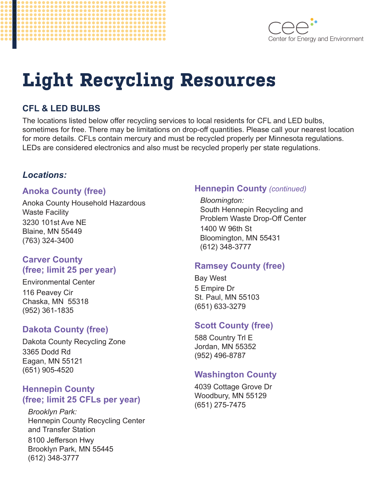



# **Light Recycling Resources**

# **CFL & LED BULBS**

The locations listed below offer recycling services to local residents for CFL and LED bulbs, sometimes for free. There may be limitations on drop-off quantities. Please call your nearest location for more details. CFLs contain mercury and must be recycled properly per Minnesota regulations. LEDs are considered electronics and also must be recycled properly per state regulations.

## *Locations:*

#### **Anoka County (free)**

Anoka County Household Hazardous Waste Facility 3230 101st Ave NE Blaine, MN 55449 (763) 324-3400

#### **Carver County (free; limit 25 per year)**

Environmental Center 116 Peavey Cir Chaska, MN 55318 (952) 361-1835

## **Dakota County (free)**

Dakota County Recycling Zone 3365 Dodd Rd Eagan, MN 55121 (651) 905-4520

## **Hennepin County (free; limit 25 CFLs per year)**

*Brooklyn Park:* Hennepin County Recycling Center and Transfer Station 8100 Jefferson Hwy Brooklyn Park, MN 55445 (612) 348-3777

## **Hennepin County** *(continued)*

*Bloomington:* South Hennepin Recycling and Problem Waste Drop-Off Center 1400 W 96th St Bloomington, MN 55431 (612) 348-3777

# **Ramsey County (free)**

Bay West 5 Empire Dr St. Paul, MN 55103 (651) 633-3279

# **Scott County (free)**

588 Country Trl E Jordan, MN 55352 (952) 496-8787

# **Washington County**

4039 Cottage Grove Dr Woodbury, MN 55129 (651) 275-7475